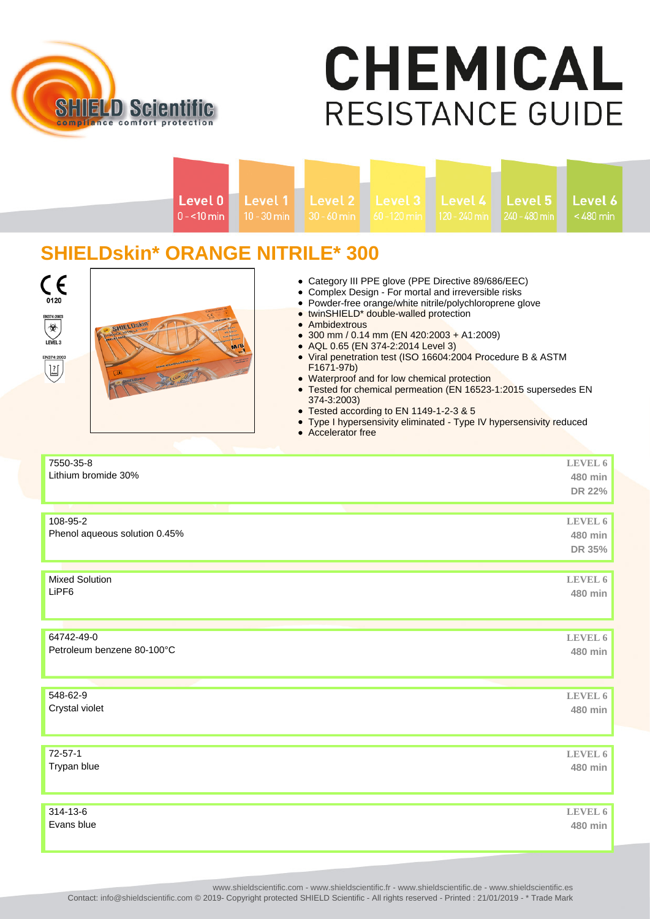

## **CHEMICAL RESISTANCE GUIDE**

|                                                                                                                  | Level 0<br>$0 - 10$ min | Level 1<br>$10 - 30$ min | Level 2<br>$30 - 60$ min                                          | Level 3<br>60-120 min                                                                                                                                                                                                                                                                                                                                                                            | Level 4<br>120 - 240 min | Level 5<br>240 - 480 min                                                                                                                                                                              | Level 6<br>$< 480$ min       |
|------------------------------------------------------------------------------------------------------------------|-------------------------|--------------------------|-------------------------------------------------------------------|--------------------------------------------------------------------------------------------------------------------------------------------------------------------------------------------------------------------------------------------------------------------------------------------------------------------------------------------------------------------------------------------------|--------------------------|-------------------------------------------------------------------------------------------------------------------------------------------------------------------------------------------------------|------------------------------|
| <b>SHIELDskin* ORANGE NITRILE* 300</b>                                                                           |                         |                          |                                                                   |                                                                                                                                                                                                                                                                                                                                                                                                  |                          |                                                                                                                                                                                                       |                              |
| CE<br>0120<br>EN374:2003<br><b>SHIELDSKIN</b><br>$\bigcircledast$<br>LEVEL <sub>3</sub><br>EN374:2003<br>ر آشا ) |                         |                          | • Ambidextrous<br>F1671-97b)<br>374-3:2003)<br>• Accelerator free | • Category III PPE glove (PPE Directive 89/686/EEC)<br>• Complex Design - For mortal and irreversible risks<br>• Powder-free orange/white nitrile/polychloroprene glove<br>· twinSHIELD* double-walled protection<br>• 300 mm / 0.14 mm (EN 420:2003 + A1:2009)<br>• AQL 0.65 (EN 374-2:2014 Level 3)<br>• Waterproof and for low chemical protection<br>• Tested according to EN 1149-1-2-3 & 5 |                          | • Viral penetration test (ISO 16604:2004 Procedure B & ASTM<br>• Tested for chemical permeation (EN 16523-1:2015 supersedes EN<br>• Type I hypersensivity eliminated - Type IV hypersensivity reduced |                              |
| 7550-35-8<br>Lithium bromide 30%                                                                                 |                         |                          |                                                                   |                                                                                                                                                                                                                                                                                                                                                                                                  |                          |                                                                                                                                                                                                       | LEVEL 6<br>480 min<br>DR 22% |
| 108-95-2<br>Phenol aqueous solution 0.45%                                                                        |                         |                          |                                                                   |                                                                                                                                                                                                                                                                                                                                                                                                  |                          |                                                                                                                                                                                                       | LEVEL 6<br>480 min<br>DR 35% |
| <b>Mixed Solution</b><br>LiPF6                                                                                   |                         |                          |                                                                   |                                                                                                                                                                                                                                                                                                                                                                                                  |                          |                                                                                                                                                                                                       | LEVEL 6<br>480 min           |
| 64742-49-0<br>Petroleum benzene 80-100°C                                                                         |                         |                          |                                                                   |                                                                                                                                                                                                                                                                                                                                                                                                  |                          |                                                                                                                                                                                                       | LEVEL 6<br>480 min           |
| 548-62-9<br>Crystal violet                                                                                       |                         |                          |                                                                   |                                                                                                                                                                                                                                                                                                                                                                                                  |                          |                                                                                                                                                                                                       | <b>LEVEL 6</b><br>480 min    |
| $72 - 57 - 1$<br>Trypan blue                                                                                     |                         |                          |                                                                   |                                                                                                                                                                                                                                                                                                                                                                                                  |                          |                                                                                                                                                                                                       | <b>LEVEL 6</b><br>480 min    |
| 314-13-6<br>Evans blue                                                                                           |                         |                          |                                                                   |                                                                                                                                                                                                                                                                                                                                                                                                  |                          |                                                                                                                                                                                                       | <b>LEVEL 6</b><br>480 min    |

[www.shieldscientific.com](http://shieldscientific.com/www.shieldscientific.com) - [www.shieldscientific.fr](http://shieldscientific.com/www.shieldscientific.fr) - [www.shieldscientific.de](http://shieldscientific.com/www.shieldscientific.de) - [www.shieldscientific.es](http://shieldscientific.com/www.shieldscientific.es)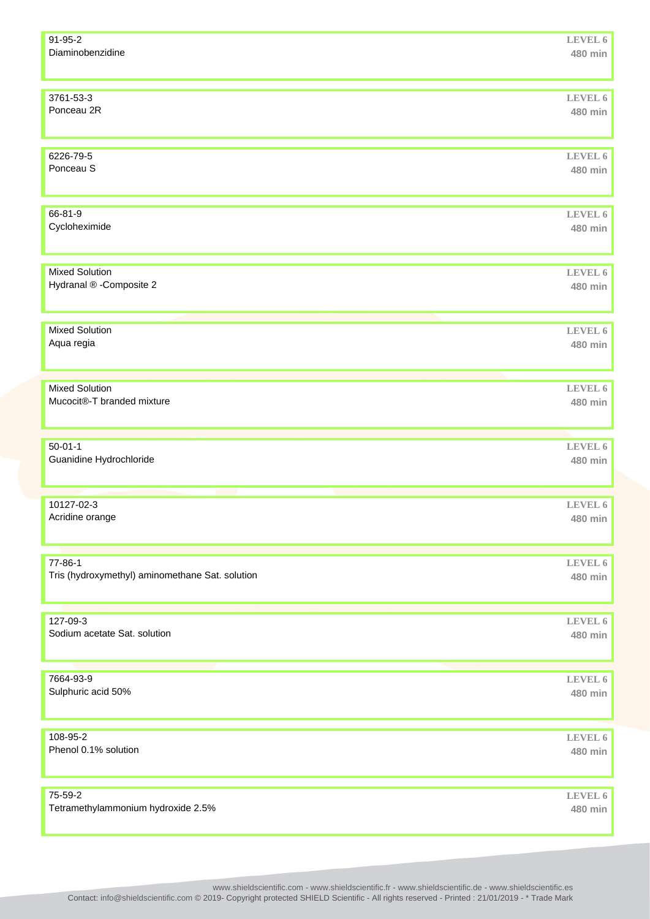| $91 - 95 - 2$                                   | LEVEL 6        |
|-------------------------------------------------|----------------|
| Diaminobenzidine                                | 480 min        |
|                                                 |                |
| 3761-53-3                                       | LEVEL 6        |
| Ponceau 2R                                      | 480 min        |
| 6226-79-5                                       | LEVEL 6        |
| Ponceau S                                       | 480 min        |
| 66-81-9                                         | <b>LEVEL 6</b> |
| Cycloheximide                                   | 480 min        |
| <b>Mixed Solution</b>                           | LEVEL 6        |
| Hydranal ® - Composite 2                        | 480 min        |
| <b>Mixed Solution</b>                           | LEVEL 6        |
| Aqua regia                                      | 480 min        |
| <b>Mixed Solution</b>                           | LEVEL 6        |
| Mucocit®-T branded mixture                      | 480 min        |
| $50 - 01 - 1$                                   | <b>LEVEL 6</b> |
| Guanidine Hydrochloride                         | 480 min        |
| 10127-02-3                                      | <b>LEVEL 6</b> |
| Acridine orange                                 | 480 min        |
| 77-86-1                                         | LEVEL 6        |
| Tris (hydroxymethyl) aminomethane Sat. solution | 480 min        |
| 127-09-3                                        | LEVEL 6        |
| Sodium acetate Sat. solution                    | 480 min        |
| 7664-93-9                                       | LEVEL 6        |
| Sulphuric acid 50%                              | 480 min        |
| 108-95-2                                        | LEVEL 6        |
| Phenol 0.1% solution                            | 480 min        |
| 75-59-2                                         | LEVEL 6        |
| Tetramethylammonium hydroxide 2.5%              | 480 min        |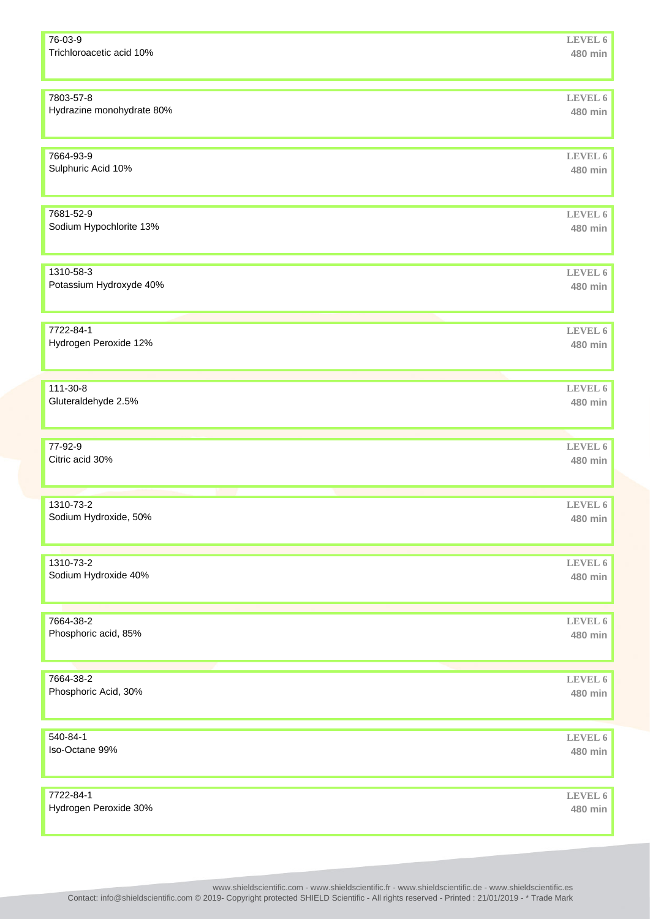| 76-03-9                   | LEVEL 6 |
|---------------------------|---------|
| Trichloroacetic acid 10%  | 480 min |
| 7803-57-8                 | LEVEL 6 |
| Hydrazine monohydrate 80% | 480 min |
| 7664-93-9                 | LEVEL 6 |
| Sulphuric Acid 10%        | 480 min |
| 7681-52-9                 | LEVEL 6 |
| Sodium Hypochlorite 13%   | 480 min |
| 1310-58-3                 | LEVEL 6 |
| Potassium Hydroxyde 40%   | 480 min |
| 7722-84-1                 | LEVEL 6 |
| Hydrogen Peroxide 12%     | 480 min |
| 111-30-8                  | LEVEL 6 |
| Gluteraldehyde 2.5%       | 480 min |
| 77-92-9                   | LEVEL 6 |
| Citric acid 30%           | 480 min |
| 1310-73-2                 | LEVEL 6 |
| Sodium Hydroxide, 50%     | 480 min |
| 1310-73-2                 | LEVEL 6 |
| Sodium Hydroxide 40%      | 480 min |
| 7664-38-2                 | LEVEL 6 |
| Phosphoric acid, 85%      | 480 min |
| 7664-38-2                 | LEVEL 6 |
| Phosphoric Acid, 30%      | 480 min |
| 540-84-1                  | LEVEL 6 |
| Iso-Octane 99%            | 480 min |
| 7722-84-1                 | LEVEL 6 |
| Hydrogen Peroxide 30%     | 480 min |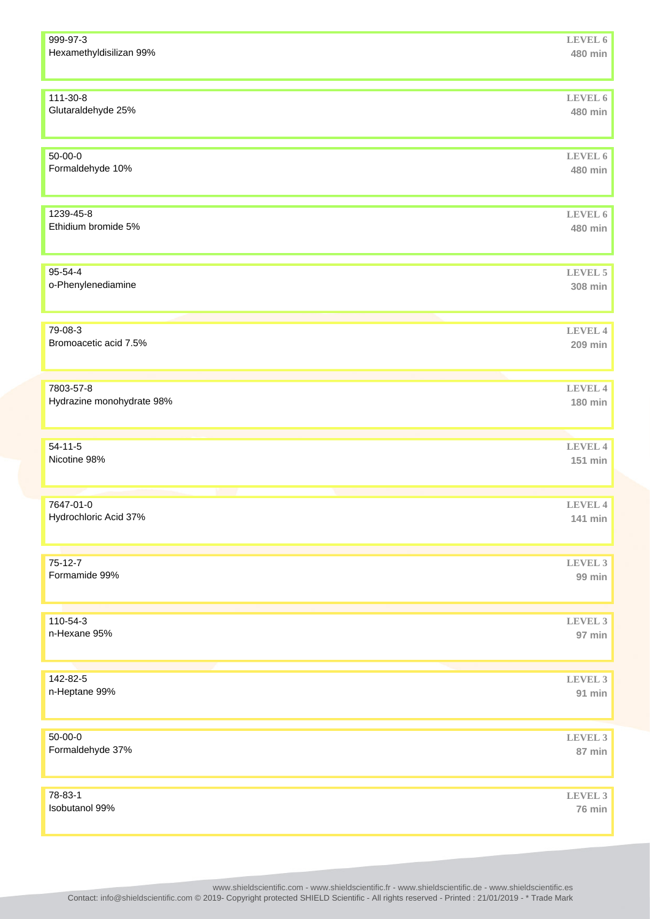| 999-97-3                  | <b>LEVEL 6</b> |
|---------------------------|----------------|
| Hexamethyldisilizan 99%   | 480 min        |
| 111-30-8                  | LEVEL 6        |
| Glutaraldehyde 25%        | 480 min        |
| 50-00-0                   | LEVEL 6        |
| Formaldehyde 10%          | 480 min        |
| 1239-45-8                 | <b>LEVEL 6</b> |
| Ethidium bromide 5%       | 480 min        |
| 95-54-4                   | LEVEL 5        |
| o-Phenylenediamine        | 308 min        |
| 79-08-3                   | <b>LEVEL 4</b> |
| Bromoacetic acid 7.5%     | 209 min        |
| 7803-57-8                 | <b>LEVEL 4</b> |
| Hydrazine monohydrate 98% | <b>180 min</b> |
| $54 - 11 - 5$             | <b>LEVEL 4</b> |
| Nicotine 98%              | 151 min        |
| 7647-01-0                 | LEVEL 4        |
| Hydrochloric Acid 37%     | 141 min        |
| $75-12-7$                 | LEVEL 3        |
| Formamide 99%             | 99 min         |
| 110-54-3                  | <b>LEVEL 3</b> |
| n-Hexane 95%              | 97 min         |
| 142-82-5                  | <b>LEVEL 3</b> |
| n-Heptane 99%             | 91 min         |
| 50-00-0                   | <b>LEVEL 3</b> |
| Formaldehyde 37%          | 87 min         |
| 78-83-1                   | <b>LEVEL 3</b> |
| Isobutanol 99%            | <b>76 min</b>  |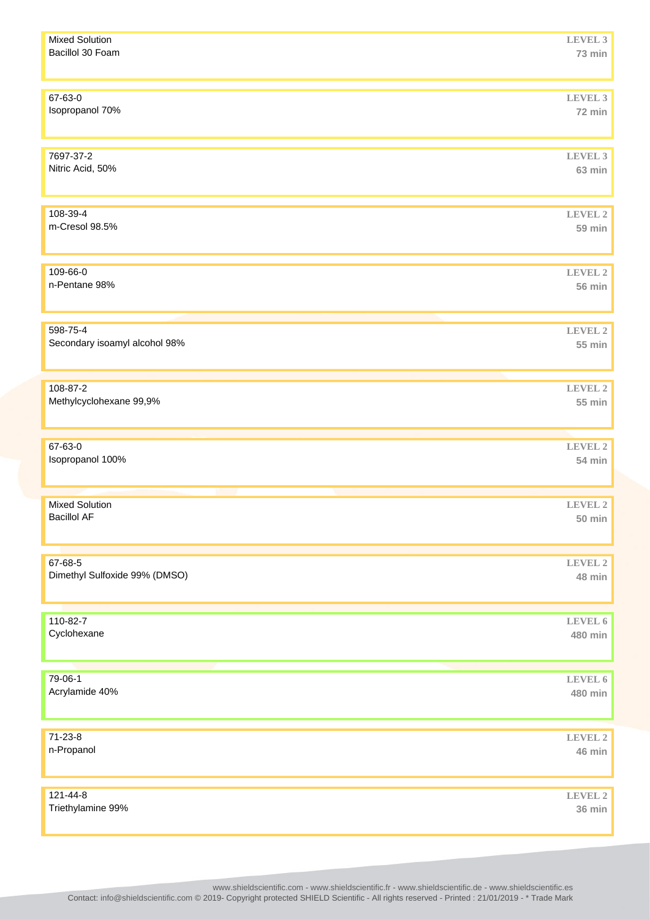| <b>Mixed Solution</b>         | <b>LEVEL 3</b> |
|-------------------------------|----------------|
| Bacillol 30 Foam              | <b>73 min</b>  |
| 67-63-0                       | LEVEL 3        |
| Isopropanol 70%               | <b>72 min</b>  |
| 7697-37-2                     | <b>LEVEL 3</b> |
| Nitric Acid, 50%              | 63 min         |
| 108-39-4                      | LEVEL 2        |
| m-Cresol 98.5%                | <b>59 min</b>  |
| 109-66-0                      | <b>LEVEL 2</b> |
| n-Pentane 98%                 | <b>56 min</b>  |
| 598-75-4                      | <b>LEVEL 2</b> |
| Secondary isoamyl alcohol 98% | <b>55 min</b>  |
| 108-87-2                      | <b>LEVEL 2</b> |
| Methylcyclohexane 99,9%       | 55 min         |
| 67-63-0                       | LEVEL 2        |
| Isopropanol 100%              | <b>54 min</b>  |
| <b>Mixed Solution</b>         | <b>LEVEL 2</b> |
| <b>Bacillol AF</b>            | <b>50 min</b>  |
| 67-68-5                       | LEVEL 2        |
| Dimethyl Sulfoxide 99% (DMSO) | 48 min         |
| 110-82-7                      | LEVEL 6        |
| Cyclohexane                   | 480 min        |
| 79-06-1                       | LEVEL 6        |
| Acrylamide 40%                | 480 min        |
| 71-23-8                       | <b>LEVEL 2</b> |
| n-Propanol                    | <b>46 min</b>  |
| 121-44-8                      | <b>LEVEL 2</b> |
| Triethylamine 99%             | <b>36 min</b>  |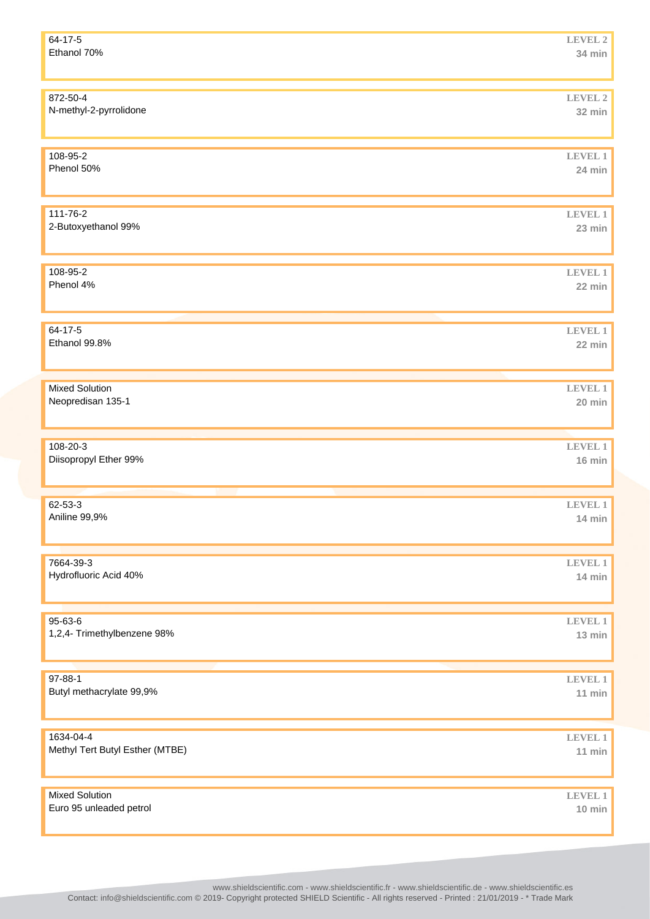| 64-17-5                         | <b>LEVEL 2</b> |
|---------------------------------|----------------|
| Ethanol 70%                     | 34 min         |
| 872-50-4                        | <b>LEVEL 2</b> |
| N-methyl-2-pyrrolidone          | 32 min         |
| 108-95-2                        | <b>LEVEL 1</b> |
| Phenol 50%                      | 24 min         |
| 111-76-2                        | <b>LEVEL 1</b> |
| 2-Butoxyethanol 99%             | 23 min         |
| 108-95-2                        | <b>LEVEL 1</b> |
| Phenol 4%                       | 22 min         |
| 64-17-5                         | <b>LEVEL 1</b> |
| Ethanol 99.8%                   | 22 min         |
| <b>Mixed Solution</b>           | <b>LEVEL 1</b> |
| Neopredisan 135-1               | 20 min         |
| 108-20-3                        | <b>LEVEL 1</b> |
| Diisopropyl Ether 99%           | 16 min         |
| 62-53-3                         | <b>LEVEL 1</b> |
| Aniline 99,9%                   | 14 min         |
| 7664-39-3                       | <b>LEVEL 1</b> |
| Hydrofluoric Acid 40%           | 14 min         |
| 95-63-6                         | <b>LEVEL 1</b> |
| 1,2,4- Trimethylbenzene 98%     | 13 min         |
| 97-88-1                         | <b>LEVEL 1</b> |
| Butyl methacrylate 99,9%        | $11$ min       |
| 1634-04-4                       | <b>LEVEL 1</b> |
| Methyl Tert Butyl Esther (MTBE) | $11$ min       |
| <b>Mixed Solution</b>           | <b>LEVEL 1</b> |
| Euro 95 unleaded petrol         | $10$ min       |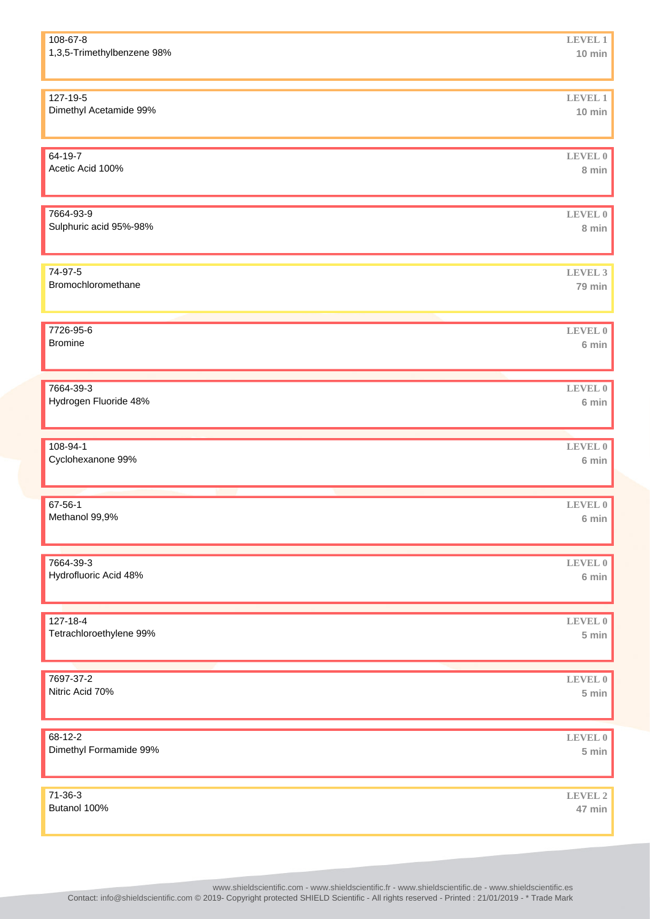| 108-67-8                   | <b>LEVEL 1</b> |
|----------------------------|----------------|
| 1,3,5-Trimethylbenzene 98% | $10$ min       |
| 127-19-5                   | <b>LEVEL 1</b> |
| Dimethyl Acetamide 99%     | $10$ min       |
| 64-19-7                    | <b>LEVEL 0</b> |
| Acetic Acid 100%           | 8 min          |
| 7664-93-9                  | <b>LEVEL 0</b> |
| Sulphuric acid 95%-98%     | 8 min          |
| 74-97-5                    | <b>LEVEL 3</b> |
| Bromochloromethane         | <b>79 min</b>  |
| 7726-95-6                  | <b>LEVEL 0</b> |
| <b>Bromine</b>             | 6 min          |
| 7664-39-3                  | <b>LEVEL 0</b> |
| Hydrogen Fluoride 48%      | 6 min          |
| 108-94-1                   | <b>LEVEL 0</b> |
| Cyclohexanone 99%          | 6 min          |
| 67-56-1                    | <b>LEVEL 0</b> |
| Methanol 99,9%             | 6 min          |
| 7664-39-3                  | <b>LEVEL 0</b> |
| Hydrofluoric Acid 48%      | 6 min          |
| 127-18-4                   | <b>LEVEL 0</b> |
| Tetrachloroethylene 99%    | 5 min          |
| 7697-37-2                  | <b>LEVEL 0</b> |
| Nitric Acid 70%            | 5 min          |
| 68-12-2                    | <b>LEVEL 0</b> |
| Dimethyl Formamide 99%     | 5 min          |
| 71-36-3                    | LEVEL 2        |
| Butanol 100%               | 47 min         |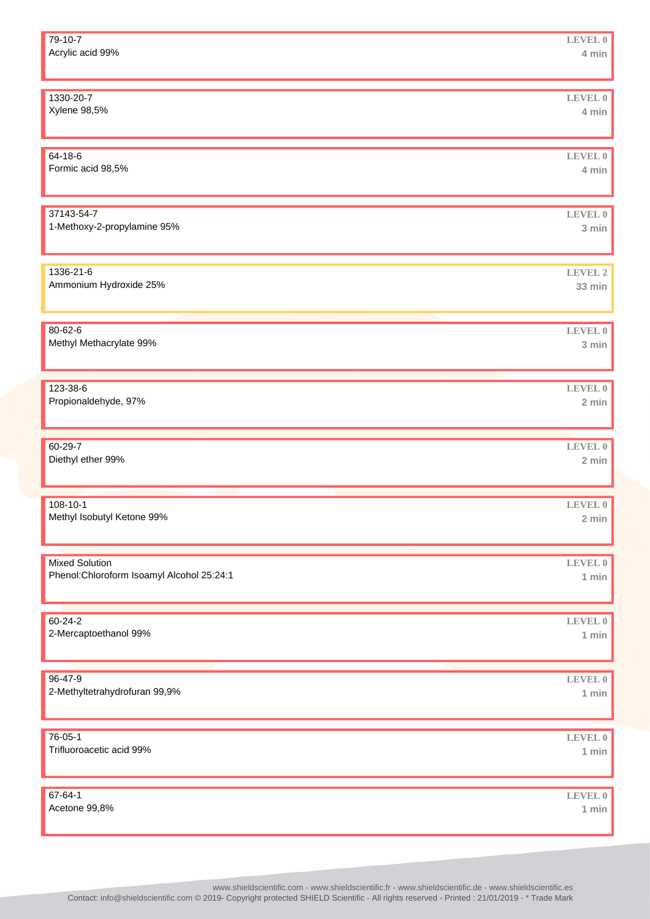| 79-10-7                                    | <b>LEVEL 0</b> |
|--------------------------------------------|----------------|
| Acrylic acid 99%                           | 4 min          |
| 1330-20-7                                  | <b>LEVEL 0</b> |
| Xylene 98,5%                               | 4 min          |
| 64-18-6                                    | <b>LEVEL 0</b> |
| Formic acid 98,5%                          | 4 min          |
| 37143-54-7                                 | <b>LEVEL 0</b> |
| 1-Methoxy-2-propylamine 95%                | 3 min          |
| 1336-21-6                                  | <b>LEVEL 2</b> |
| Ammonium Hydroxide 25%                     | 33 min         |
| 80-62-6                                    | <b>LEVEL 0</b> |
| Methyl Methacrylate 99%                    | 3 min          |
| 123-38-6                                   | <b>LEVEL 0</b> |
| Propionaldehyde, 97%                       | 2 min          |
| 60-29-7                                    | <b>LEVEL 0</b> |
| Diethyl ether 99%                          | 2 min          |
| 108-10-1                                   | <b>LEVEL 0</b> |
| Methyl Isobutyl Ketone 99%                 | 2 min          |
| <b>Mixed Solution</b>                      | LEVEL 0        |
| Phenol: Chloroform Isoamyl Alcohol 25:24:1 | 1 min          |
| 60-24-2                                    | <b>LEVEL 0</b> |
| 2-Mercaptoethanol 99%                      | 1 min          |
| 96-47-9                                    | <b>LEVEL 0</b> |
| 2-Methyltetrahydrofuran 99,9%              | 1 min          |
| 76-05-1                                    | <b>LEVEL 0</b> |
| Trifluoroacetic acid 99%                   | 1 min          |
| 67-64-1                                    | <b>LEVEL 0</b> |
| Acetone 99,8%                              | 1 min          |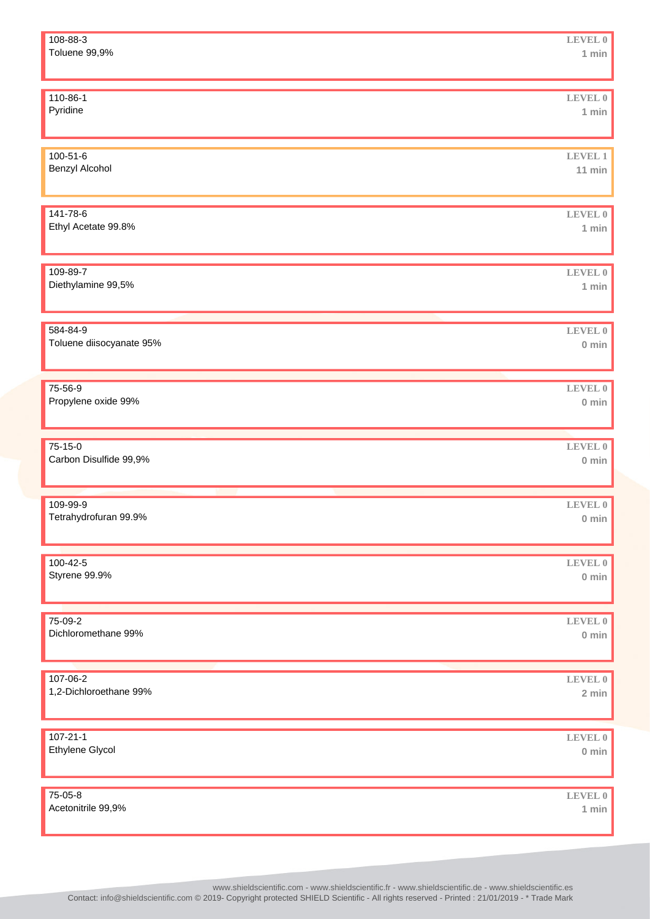| 108-88-3                 | LEVEL 0        |
|--------------------------|----------------|
| Toluene 99,9%            | 1 min          |
| 110-86-1                 | <b>LEVEL 0</b> |
| Pyridine                 | 1 min          |
| 100-51-6                 | <b>LEVEL 1</b> |
| Benzyl Alcohol           | $11$ min       |
| 141-78-6                 | <b>LEVEL 0</b> |
| Ethyl Acetate 99.8%      | 1 min          |
| 109-89-7                 | <b>LEVEL 0</b> |
| Diethylamine 99,5%       | 1 min          |
| 584-84-9                 | <b>LEVEL 0</b> |
| Toluene diisocyanate 95% | $0$ min        |
| 75-56-9                  | <b>LEVEL 0</b> |
| Propylene oxide 99%      | $0$ min        |
| 75-15-0                  | LEVEL 0        |
| Carbon Disulfide 99,9%   | $0$ min        |
| 109-99-9                 | LEVEL 0        |
| Tetrahydrofuran 99.9%    | $0$ min        |
| 100-42-5                 | LEVEL 0        |
| Styrene 99.9%            | $0$ min        |
| 75-09-2                  | <b>LEVEL 0</b> |
| Dichloromethane 99%      | $0$ min        |
| 107-06-2                 | LEVEL 0        |
| 1,2-Dichloroethane 99%   | 2 min          |
| $107 - 21 - 1$           | <b>LEVEL 0</b> |
| Ethylene Glycol          | $0$ min        |
| 75-05-8                  | LEVEL 0        |
| Acetonitrile 99,9%       | 1 min          |